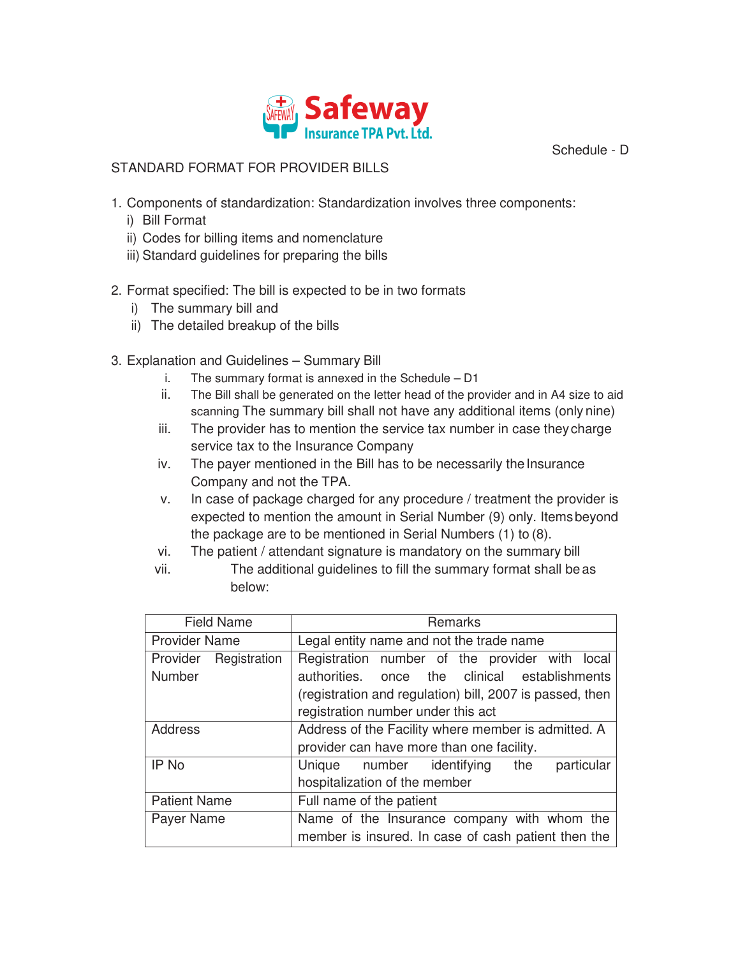

Schedule - D

#### STANDARD FORMAT FOR PROVIDER BILLS

- 1. Components of standardization: Standardization involves three components:
	- i) Bill Format
	- ii) Codes for billing items and nomenclature
	- iii) Standard guidelines for preparing the bills

### 2. Format specified: The bill is expected to be in two formats

- i) The summary bill and
- ii) The detailed breakup of the bills
- 3. Explanation and Guidelines Summary Bill
	- i. The summary format is annexed in the Schedule D1
	- ii. The Bill shall be generated on the letter head of the provider and in A4 size to aid scanning The summary bill shall not have any additional items (only nine)
	- iii. The provider has to mention the service tax number in case they charge service tax to the Insurance Company
	- iv. The payer mentioned in the Bill has to be necessarily the Insurance Company and not the TPA.
	- v. In case of package charged for any procedure / treatment the provider is expected to mention the amount in Serial Number (9) only. Items beyond the package are to be mentioned in Serial Numbers (1) to (8).
	- vi. The patient / attendant signature is mandatory on the summary bill
	- vii. The additional guidelines to fill the summary format shall be as below:

| <b>Field Name</b>               | Remarks                                                                                            |  |  |  |  |
|---------------------------------|----------------------------------------------------------------------------------------------------|--|--|--|--|
| <b>Provider Name</b>            | Legal entity name and not the trade name                                                           |  |  |  |  |
| Provider Registration<br>Number | Registration number of the provider with local<br>authorities. once the clinical establishments    |  |  |  |  |
|                                 | (registration and regulation) bill, 2007 is passed, then<br>registration number under this act     |  |  |  |  |
| <b>Address</b>                  | Address of the Facility where member is admitted. A                                                |  |  |  |  |
|                                 | provider can have more than one facility.                                                          |  |  |  |  |
| IP No                           | Unique number identifying the<br>particular<br>hospitalization of the member                       |  |  |  |  |
| <b>Patient Name</b>             | Full name of the patient                                                                           |  |  |  |  |
| Payer Name                      | Name of the Insurance company with whom the<br>member is insured. In case of cash patient then the |  |  |  |  |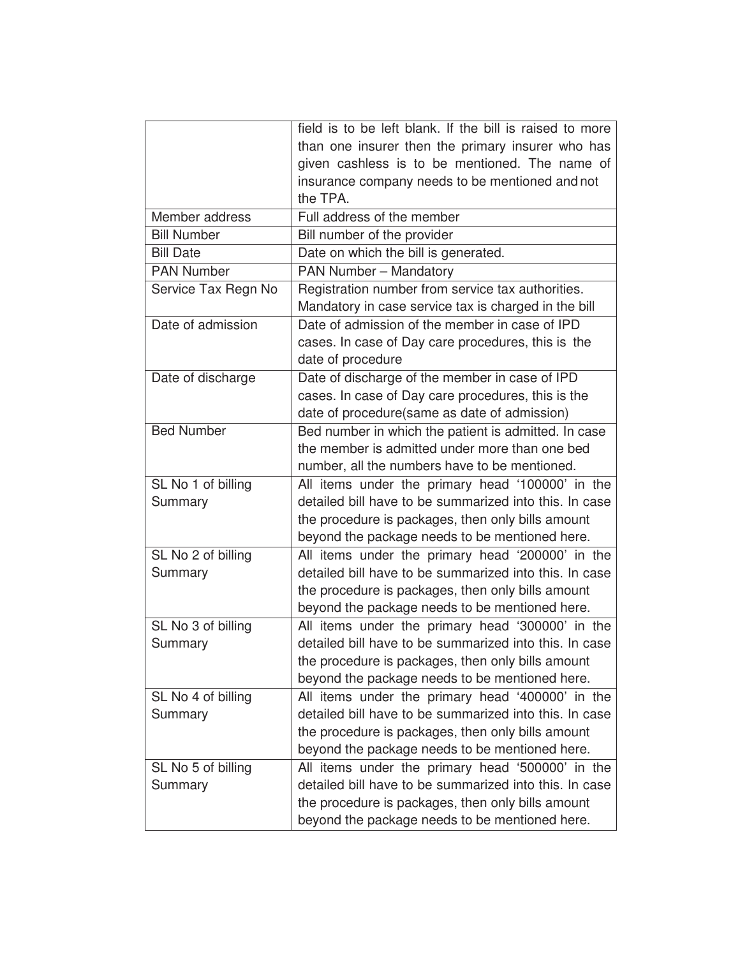|                     | field is to be left blank. If the bill is raised to more |
|---------------------|----------------------------------------------------------|
|                     | than one insurer then the primary insurer who has        |
|                     | given cashless is to be mentioned. The name of           |
|                     | insurance company needs to be mentioned and not          |
|                     | the TPA.                                                 |
| Member address      | Full address of the member                               |
| <b>Bill Number</b>  | Bill number of the provider                              |
| <b>Bill Date</b>    | Date on which the bill is generated.                     |
| <b>PAN Number</b>   | <b>PAN Number - Mandatory</b>                            |
| Service Tax Regn No | Registration number from service tax authorities.        |
|                     | Mandatory in case service tax is charged in the bill     |
| Date of admission   | Date of admission of the member in case of IPD           |
|                     | cases. In case of Day care procedures, this is the       |
|                     | date of procedure                                        |
| Date of discharge   | Date of discharge of the member in case of IPD           |
|                     | cases. In case of Day care procedures, this is the       |
|                     | date of procedure(same as date of admission)             |
| <b>Bed Number</b>   | Bed number in which the patient is admitted. In case     |
|                     | the member is admitted under more than one bed           |
|                     | number, all the numbers have to be mentioned.            |
| SL No 1 of billing  | All items under the primary head '100000' in the         |
| Summary             | detailed bill have to be summarized into this. In case   |
|                     | the procedure is packages, then only bills amount        |
|                     | beyond the package needs to be mentioned here.           |
| SL No 2 of billing  | All items under the primary head '200000' in the         |
| Summary             | detailed bill have to be summarized into this. In case   |
|                     | the procedure is packages, then only bills amount        |
|                     | beyond the package needs to be mentioned here.           |
| SL No 3 of billing  | All items under the primary head '300000' in the         |
| Summary             | detailed bill have to be summarized into this. In case   |
|                     | the procedure is packages, then only bills amount        |
|                     | beyond the package needs to be mentioned here.           |
| SL No 4 of billing  | All items under the primary head '400000' in the         |
| Summary             | detailed bill have to be summarized into this. In case   |
|                     | the procedure is packages, then only bills amount        |
|                     | beyond the package needs to be mentioned here.           |
| SL No 5 of billing  | All items under the primary head '500000' in the         |
| Summary             | detailed bill have to be summarized into this. In case   |
|                     | the procedure is packages, then only bills amount        |
|                     | beyond the package needs to be mentioned here.           |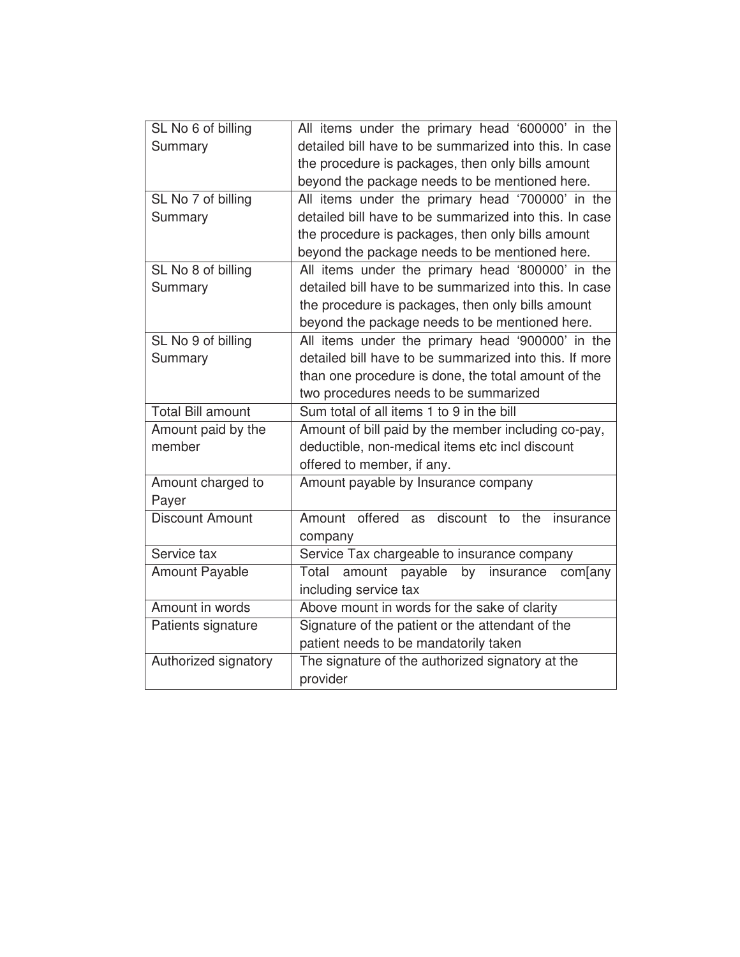| SL No 6 of billing       | All items under the primary head '600000' in the           |  |  |  |  |  |
|--------------------------|------------------------------------------------------------|--|--|--|--|--|
| Summary                  | detailed bill have to be summarized into this. In case     |  |  |  |  |  |
|                          | the procedure is packages, then only bills amount          |  |  |  |  |  |
|                          | beyond the package needs to be mentioned here.             |  |  |  |  |  |
| SL No 7 of billing       | All items under the primary head '700000' in the           |  |  |  |  |  |
| Summary                  | detailed bill have to be summarized into this. In case     |  |  |  |  |  |
|                          | the procedure is packages, then only bills amount          |  |  |  |  |  |
|                          | beyond the package needs to be mentioned here.             |  |  |  |  |  |
| SL No 8 of billing       | All items under the primary head '800000' in the           |  |  |  |  |  |
| Summary                  | detailed bill have to be summarized into this. In case     |  |  |  |  |  |
|                          | the procedure is packages, then only bills amount          |  |  |  |  |  |
|                          | beyond the package needs to be mentioned here.             |  |  |  |  |  |
| SL No 9 of billing       | All items under the primary head '900000' in the           |  |  |  |  |  |
| Summary                  | detailed bill have to be summarized into this. If more     |  |  |  |  |  |
|                          | than one procedure is done, the total amount of the        |  |  |  |  |  |
|                          | two procedures needs to be summarized                      |  |  |  |  |  |
| <b>Total Bill amount</b> | Sum total of all items 1 to 9 in the bill                  |  |  |  |  |  |
| Amount paid by the       | Amount of bill paid by the member including co-pay,        |  |  |  |  |  |
| member                   | deductible, non-medical items etc incl discount            |  |  |  |  |  |
|                          | offered to member, if any.                                 |  |  |  |  |  |
| Amount charged to        |                                                            |  |  |  |  |  |
|                          | Amount payable by Insurance company                        |  |  |  |  |  |
| Payer                    |                                                            |  |  |  |  |  |
| <b>Discount Amount</b>   | Amount offered<br>discount<br>to<br>the<br>as<br>insurance |  |  |  |  |  |
|                          | company                                                    |  |  |  |  |  |
| Service tax              | Service Tax chargeable to insurance company                |  |  |  |  |  |
| <b>Amount Payable</b>    | amount<br>payable<br>insurance<br>Total<br>by<br>com[any   |  |  |  |  |  |
|                          | including service tax                                      |  |  |  |  |  |
| Amount in words          | Above mount in words for the sake of clarity               |  |  |  |  |  |
| Patients signature       | Signature of the patient or the attendant of the           |  |  |  |  |  |
|                          | patient needs to be mandatorily taken                      |  |  |  |  |  |
| Authorized signatory     | The signature of the authorized signatory at the           |  |  |  |  |  |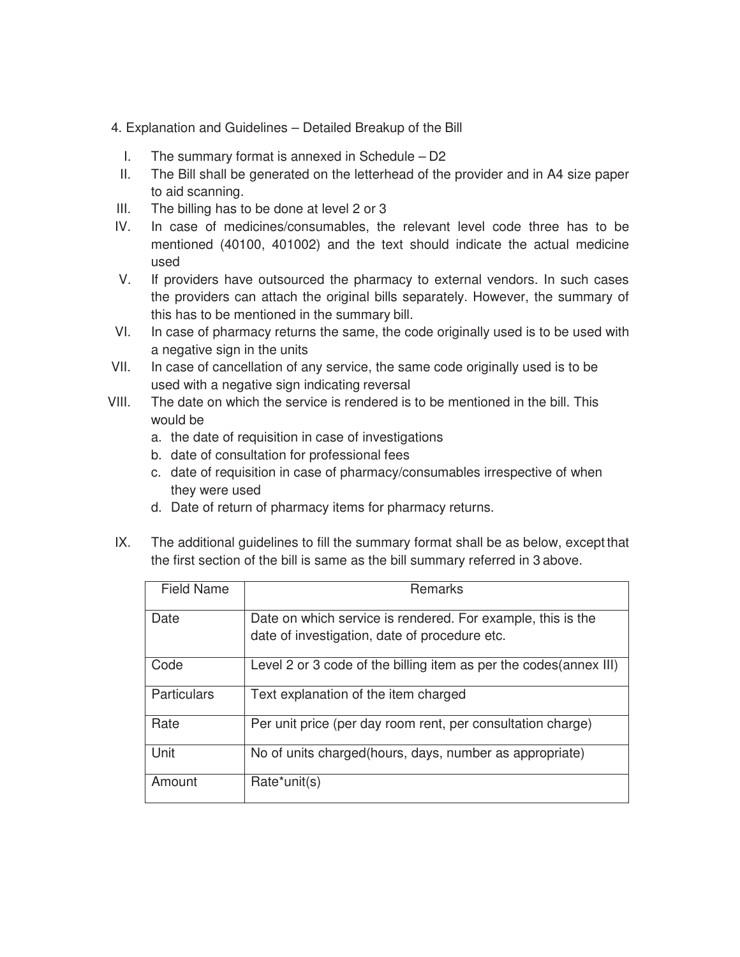- 4. Explanation and Guidelines Detailed Breakup of the Bill
	- I. The summary format is annexed in Schedule D2
- II. The Bill shall be generated on the letterhead of the provider and in A4 size paper to aid scanning.
- III. The billing has to be done at level 2 or 3
- IV. In case of medicines/consumables, the relevant level code three has to be mentioned (40100, 401002) and the text should indicate the actual medicine used
- V. If providers have outsourced the pharmacy to external vendors. In such cases the providers can attach the original bills separately. However, the summary of this has to be mentioned in the summary bill.
- VI. In case of pharmacy returns the same, the code originally used is to be used with a negative sign in the units
- VII. In case of cancellation of any service, the same code originally used is to be used with a negative sign indicating reversal
- VIII. The date on which the service is rendered is to be mentioned in the bill. This would be
	- a. the date of requisition in case of investigations
	- b. date of consultation for professional fees
	- c. date of requisition in case of pharmacy/consumables irrespective of when they were used
	- d. Date of return of pharmacy items for pharmacy returns.
- IX. The additional guidelines to fill the summary format shall be as below, except that the first section of the bill is same as the bill summary referred in 3 above.

| <b>Field Name</b>  | Remarks                                                                                                      |
|--------------------|--------------------------------------------------------------------------------------------------------------|
| Date               | Date on which service is rendered. For example, this is the<br>date of investigation, date of procedure etc. |
| Code               | Level 2 or 3 code of the billing item as per the codes (annex III)                                           |
| <b>Particulars</b> | Text explanation of the item charged                                                                         |
| Rate               | Per unit price (per day room rent, per consultation charge)                                                  |
| Unit               | No of units charged (hours, days, number as appropriate)                                                     |
| Amount             | Rate*unit(s)                                                                                                 |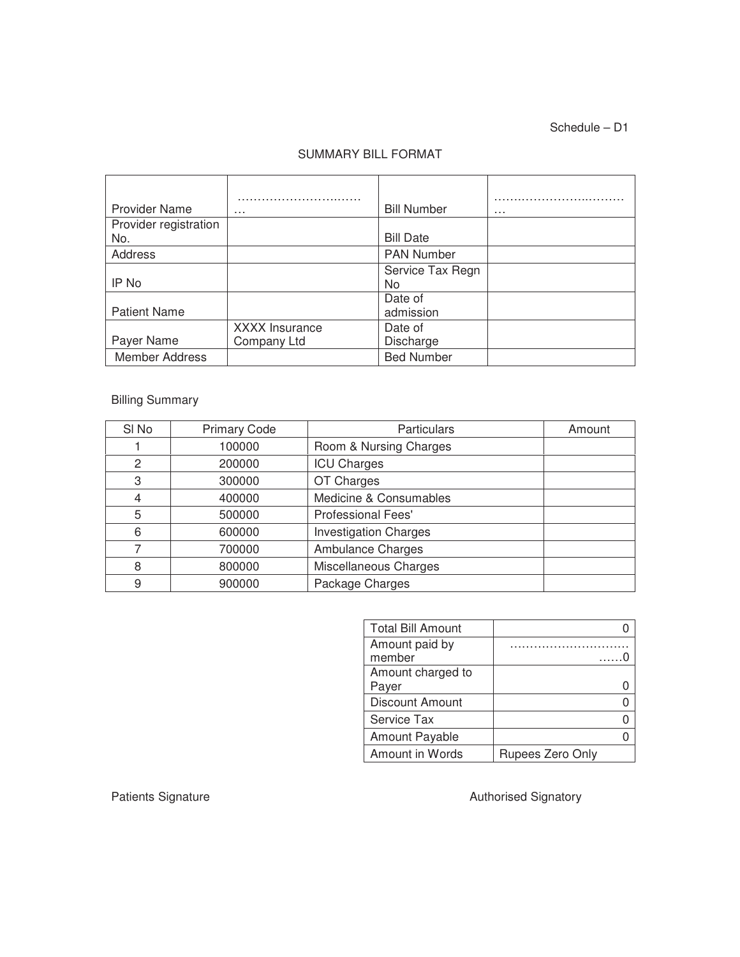Schedule – D1

#### SUMMARY BILL FORMAT

| <b>Provider Name</b>         | $\cdots$                             | <b>Bill Number</b>     | $\cdots$ |
|------------------------------|--------------------------------------|------------------------|----------|
| Provider registration<br>No. |                                      | <b>Bill Date</b>       |          |
| Address                      |                                      | PAN Number             |          |
| IP No                        |                                      | Service Tax Regn<br>No |          |
| <b>Patient Name</b>          |                                      | Date of<br>admission   |          |
| Payer Name                   | <b>XXXX Insurance</b><br>Company Ltd | Date of<br>Discharge   |          |
| Member Address               |                                      | <b>Bed Number</b>      |          |

### Billing Summary

| SI <sub>No</sub> | <b>Primary Code</b> | <b>Particulars</b>           | Amount |
|------------------|---------------------|------------------------------|--------|
|                  | 100000              | Room & Nursing Charges       |        |
| 2                | 200000              | <b>ICU Charges</b>           |        |
| 3                | 300000              | OT Charges                   |        |
| 4                | 400000              | Medicine & Consumables       |        |
| 5                | 500000              | <b>Professional Fees'</b>    |        |
| 6                | 600000              | <b>Investigation Charges</b> |        |
| 7                | 700000              | Ambulance Charges            |        |
| 8                | 800000              | Miscellaneous Charges        |        |
| 9                | 900000              | Package Charges              |        |

| <b>Total Bill Amount</b> |                  |
|--------------------------|------------------|
| Amount paid by<br>member |                  |
| Amount charged to        |                  |
| Payer                    |                  |
| Discount Amount          |                  |
| Service Tax              |                  |
| Amount Payable           |                  |
| Amount in Words          | Rupees Zero Only |

Patients Signature **Authorised Signatory Authorised Signatory**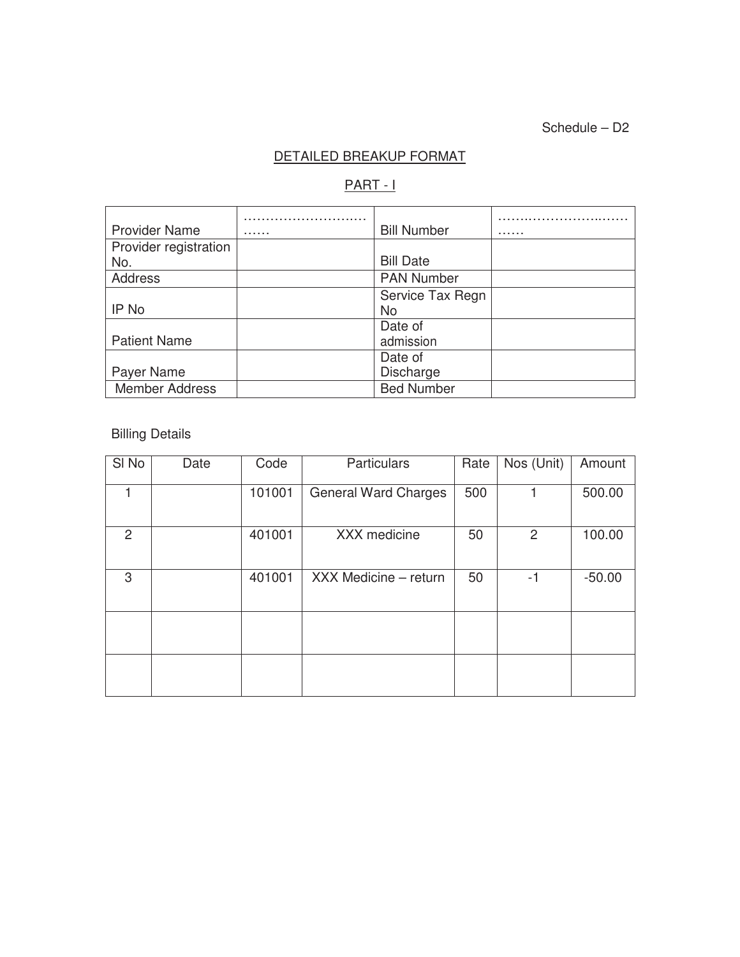Schedule – D2

# DETAILED BREAKUP FORMAT

## PART - I

| <b>Provider Name</b>  | . | <b>Bill Number</b> | . |
|-----------------------|---|--------------------|---|
| Provider registration |   |                    |   |
| No.                   |   | <b>Bill Date</b>   |   |
| Address               |   | <b>PAN Number</b>  |   |
|                       |   | Service Tax Regn   |   |
| IP No                 |   | <b>No</b>          |   |
|                       |   | Date of            |   |
| <b>Patient Name</b>   |   | admission          |   |
|                       |   | Date of            |   |
| Payer Name            |   | Discharge          |   |
| <b>Member Address</b> |   | <b>Bed Number</b>  |   |

Billing Details

| SI <sub>No</sub> | Date | Code   | <b>Particulars</b>          | Rate | Nos (Unit)     | Amount   |
|------------------|------|--------|-----------------------------|------|----------------|----------|
|                  |      | 101001 | <b>General Ward Charges</b> | 500  |                | 500.00   |
| 2                |      | 401001 | XXX medicine                | 50   | $\overline{2}$ | 100.00   |
| 3                |      | 401001 | XXX Medicine - return       | 50   | $-1$           | $-50.00$ |
|                  |      |        |                             |      |                |          |
|                  |      |        |                             |      |                |          |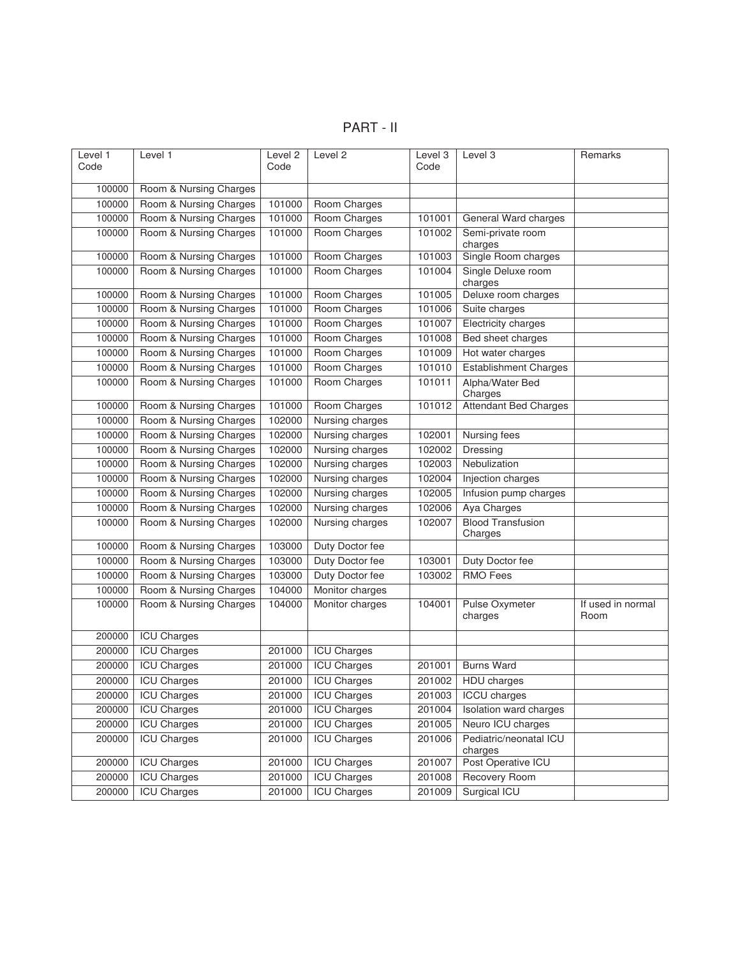PART - II

| Level 1<br>Code | Level 1                | Level <sub>2</sub><br>Code | Level 2            | Level 3<br>Code | Level 3                             | Remarks                   |
|-----------------|------------------------|----------------------------|--------------------|-----------------|-------------------------------------|---------------------------|
| 100000          | Room & Nursing Charges |                            |                    |                 |                                     |                           |
| 100000          | Room & Nursing Charges | 101000                     | Room Charges       |                 |                                     |                           |
| 100000          | Room & Nursing Charges | 101000                     | Room Charges       | 101001          | General Ward charges                |                           |
| 100000          | Room & Nursing Charges | 101000                     | Room Charges       | 101002          | Semi-private room<br>charges        |                           |
| 100000          | Room & Nursing Charges | 101000                     | Room Charges       | 101003          | Single Room charges                 |                           |
| 100000          | Room & Nursing Charges | 101000                     | Room Charges       | 101004          | Single Deluxe room<br>charges       |                           |
| 100000          | Room & Nursing Charges | 101000                     | Room Charges       | 101005          | Deluxe room charges                 |                           |
| 100000          | Room & Nursing Charges | 101000                     | Room Charges       | 101006          | Suite charges                       |                           |
| 100000          | Room & Nursing Charges | 101000                     | Room Charges       | 101007          | Electricity charges                 |                           |
| 100000          | Room & Nursing Charges | 101000                     | Room Charges       | 101008          | Bed sheet charges                   |                           |
| 100000          | Room & Nursing Charges | 101000                     | Room Charges       | 101009          | Hot water charges                   |                           |
| 100000          | Room & Nursing Charges | 101000                     | Room Charges       | 101010          | <b>Establishment Charges</b>        |                           |
| 100000          | Room & Nursing Charges | 101000                     | Room Charges       | 101011          | Alpha/Water Bed<br>Charges          |                           |
| 100000          | Room & Nursing Charges | 101000                     | Room Charges       | 101012          | <b>Attendant Bed Charges</b>        |                           |
| 100000          | Room & Nursing Charges | 102000                     | Nursing charges    |                 |                                     |                           |
| 100000          | Room & Nursing Charges | 102000                     | Nursing charges    | 102001          | Nursing fees                        |                           |
| 100000          | Room & Nursing Charges | 102000                     | Nursing charges    | 102002          | Dressing                            |                           |
| 100000          | Room & Nursing Charges | 102000                     | Nursing charges    | 102003          | Nebulization                        |                           |
| 100000          | Room & Nursing Charges | 102000                     | Nursing charges    | 102004          | Injection charges                   |                           |
| 100000          | Room & Nursing Charges | 102000                     | Nursing charges    | 102005          | Infusion pump charges               |                           |
| 100000          | Room & Nursing Charges | 102000                     | Nursing charges    | 102006          | Aya Charges                         |                           |
| 100000          | Room & Nursing Charges | 102000                     | Nursing charges    | 102007          | <b>Blood Transfusion</b><br>Charges |                           |
| 100000          | Room & Nursing Charges | 103000                     | Duty Doctor fee    |                 |                                     |                           |
| 100000          | Room & Nursing Charges | 103000                     | Duty Doctor fee    | 103001          | Duty Doctor fee                     |                           |
| 100000          | Room & Nursing Charges | 103000                     | Duty Doctor fee    | 103002          | <b>RMO</b> Fees                     |                           |
| 100000          | Room & Nursing Charges | 104000                     | Monitor charges    |                 |                                     |                           |
| 100000          | Room & Nursing Charges | 104000                     | Monitor charges    | 104001          | Pulse Oxymeter<br>charges           | If used in normal<br>Room |
| 200000          | <b>ICU Charges</b>     |                            |                    |                 |                                     |                           |
| 200000          | <b>ICU Charges</b>     | 201000                     | <b>ICU Charges</b> |                 |                                     |                           |
| 200000          | <b>ICU Charges</b>     | 201000                     | <b>ICU Charges</b> | 201001          | <b>Burns Ward</b>                   |                           |
| 200000          | <b>ICU Charges</b>     | 201000                     | <b>ICU Charges</b> | 201002          | <b>HDU</b> charges                  |                           |
| 200000          | <b>ICU Charges</b>     | 201000                     | <b>ICU Charges</b> | 201003          | <b>ICCU</b> charges                 |                           |
| 200000          | <b>ICU Charges</b>     | 201000                     | <b>ICU Charges</b> | 201004          | Isolation ward charges              |                           |
| 200000          | <b>ICU Charges</b>     | 201000                     | <b>ICU Charges</b> | 201005          | Neuro ICU charges                   |                           |
| 200000          | <b>ICU Charges</b>     | 201000                     | <b>ICU Charges</b> | 201006          | Pediatric/neonatal ICU<br>charges   |                           |
| 200000          | <b>ICU Charges</b>     | 201000                     | <b>ICU Charges</b> | 201007          | Post Operative ICU                  |                           |
| 200000          | <b>ICU Charges</b>     | 201000                     | <b>ICU Charges</b> | 201008          | Recovery Room                       |                           |
| 200000          | <b>ICU Charges</b>     | 201000                     | <b>ICU Charges</b> | 201009          | Surgical ICU                        |                           |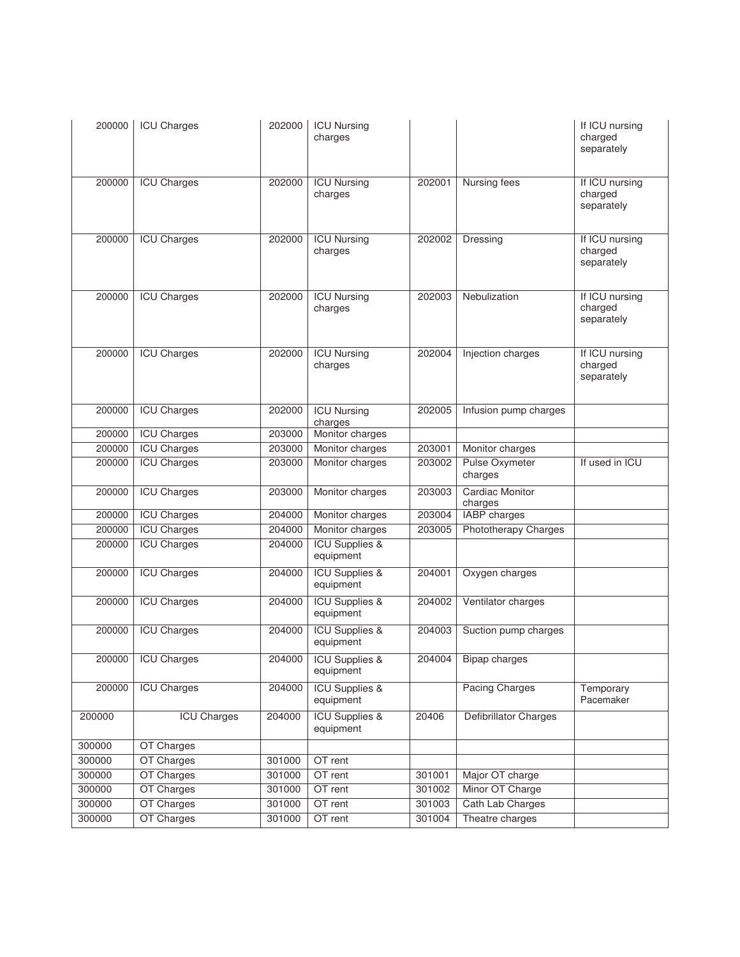| 200000 | <b>ICU Charges</b> | 202000 | <b>ICU Nursing</b><br>charges          |        |                                  | If ICU nursing<br>charged<br>separately |
|--------|--------------------|--------|----------------------------------------|--------|----------------------------------|-----------------------------------------|
| 200000 | <b>ICU Charges</b> | 202000 | <b>ICU Nursing</b><br>charges          | 202001 | Nursing fees                     | If ICU nursing<br>charged<br>separately |
| 200000 | <b>ICU Charges</b> | 202000 | <b>ICU Nursing</b><br>charges          | 202002 | Dressing                         | If ICU nursing<br>charged<br>separately |
| 200000 | <b>ICU Charges</b> | 202000 | <b>ICU Nursing</b><br>charges          | 202003 | Nebulization                     | If ICU nursing<br>charged<br>separately |
| 200000 | <b>ICU Charges</b> | 202000 | <b>ICU Nursing</b><br>charges          | 202004 | Injection charges                | If ICU nursing<br>charged<br>separately |
| 200000 | <b>ICU Charges</b> | 202000 | <b>ICU Nursing</b><br>charges          | 202005 | Infusion pump charges            |                                         |
| 200000 | <b>ICU Charges</b> | 203000 | Monitor charges                        |        |                                  |                                         |
| 200000 | <b>ICU Charges</b> | 203000 | Monitor charges                        | 203001 | Monitor charges                  |                                         |
| 200000 | <b>ICU Charges</b> | 203000 | Monitor charges                        | 203002 | <b>Pulse Oxymeter</b><br>charges | If used in ICU                          |
| 200000 | <b>ICU Charges</b> | 203000 | Monitor charges                        | 203003 | Cardiac Monitor<br>charges       |                                         |
| 200000 | <b>ICU Charges</b> | 204000 | Monitor charges                        | 203004 | <b>IABP</b> charges              |                                         |
| 200000 | <b>ICU Charges</b> | 204000 | Monitor charges                        | 203005 | Phototherapy Charges             |                                         |
| 200000 | <b>ICU Charges</b> | 204000 | <b>ICU Supplies &amp;</b><br>equipment |        |                                  |                                         |
| 200000 | <b>ICU Charges</b> | 204000 | <b>ICU Supplies &amp;</b><br>equipment | 204001 | Oxygen charges                   |                                         |
| 200000 | <b>ICU Charges</b> | 204000 | <b>ICU Supplies &amp;</b><br>equipment | 204002 | Ventilator charges               |                                         |
| 200000 | <b>ICU Charges</b> | 204000 | <b>ICU Supplies &amp;</b><br>equipment | 204003 | Suction pump charges             |                                         |
|        | 200000 ICU Charges |        | 204000   ICU Supplies &<br>equipment   |        | 204004 Bipap charges             |                                         |
| 200000 | <b>ICU Charges</b> | 204000 | <b>ICU Supplies &amp;</b><br>equipment |        | <b>Pacing Charges</b>            | Temporary<br>Pacemaker                  |
| 200000 | <b>ICU Charges</b> | 204000 | <b>ICU Supplies &amp;</b><br>equipment | 20406  | Defibrillator Charges            |                                         |
| 300000 | OT Charges         |        |                                        |        |                                  |                                         |
| 300000 | OT Charges         | 301000 | OT rent                                |        |                                  |                                         |
| 300000 | OT Charges         | 301000 | OT rent                                | 301001 | Major OT charge                  |                                         |
| 300000 | OT Charges         | 301000 | OT rent                                | 301002 | Minor OT Charge                  |                                         |
| 300000 | OT Charges         | 301000 | OT rent                                | 301003 | Cath Lab Charges                 |                                         |
| 300000 | OT Charges         | 301000 | OT rent                                | 301004 | Theatre charges                  |                                         |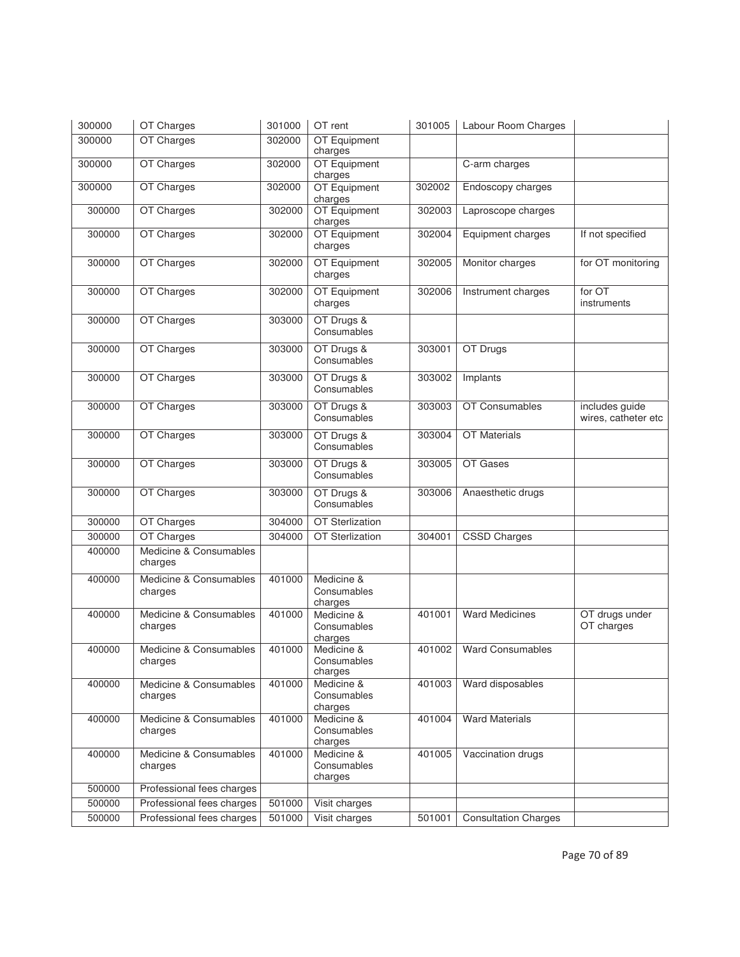| 300000 | OT Charges                        | 301000 | OT rent                              | 301005 | Labour Room Charges         |                                       |
|--------|-----------------------------------|--------|--------------------------------------|--------|-----------------------------|---------------------------------------|
| 300000 | OT Charges                        | 302000 | OT Equipment<br>charges              |        |                             |                                       |
| 300000 | OT Charges                        | 302000 | OT Equipment<br>charges              |        | C-arm charges               |                                       |
| 300000 | OT Charges                        | 302000 | OT Equipment<br>charges              | 302002 | Endoscopy charges           |                                       |
| 300000 | OT Charges                        | 302000 | OT Equipment<br>charges              | 302003 | Laproscope charges          |                                       |
| 300000 | OT Charges                        | 302000 | OT Equipment<br>charges              | 302004 | Equipment charges           | If not specified                      |
| 300000 | OT Charges                        | 302000 | OT Equipment<br>charges              | 302005 | Monitor charges             | for OT monitoring                     |
| 300000 | OT Charges                        | 302000 | OT Equipment<br>charges              | 302006 | Instrument charges          | for OT<br>instruments                 |
| 300000 | OT Charges                        | 303000 | OT Drugs &<br>Consumables            |        |                             |                                       |
| 300000 | OT Charges                        | 303000 | OT Drugs &<br>Consumables            | 303001 | OT Drugs                    |                                       |
| 300000 | OT Charges                        | 303000 | OT Drugs &<br>Consumables            | 303002 | Implants                    |                                       |
| 300000 | OT Charges                        | 303000 | OT Drugs &<br>Consumables            | 303003 | OT Consumables              | includes guide<br>wires, catheter etc |
| 300000 | OT Charges                        | 303000 | OT Drugs &<br>Consumables            | 303004 | OT Materials                |                                       |
| 300000 | OT Charges                        | 303000 | OT Drugs &<br>Consumables            | 303005 | OT Gases                    |                                       |
| 300000 | OT Charges                        | 303000 | OT Drugs &<br>Consumables            | 303006 | Anaesthetic drugs           |                                       |
| 300000 | OT Charges                        | 304000 | <b>OT Sterlization</b>               |        |                             |                                       |
| 300000 | OT Charges                        | 304000 | <b>OT Sterlization</b>               | 304001 | <b>CSSD Charges</b>         |                                       |
| 400000 | Medicine & Consumables<br>charges |        |                                      |        |                             |                                       |
| 400000 | Medicine & Consumables<br>charges | 401000 | Medicine &<br>Consumables<br>charges |        |                             |                                       |
| 400000 | Medicine & Consumables<br>charges | 401000 | Medicine &<br>Consumables<br>charges | 401001 | <b>Ward Medicines</b>       | OT drugs under<br>OT charges          |
| 400000 | Medicine & Consumables<br>charges | 401000 | Medicine &<br>Consumables<br>charges | 401002 | <b>Ward Consumables</b>     |                                       |
| 400000 | Medicine & Consumables<br>charges | 401000 | Medicine &<br>Consumables<br>charges | 401003 | Ward disposables            |                                       |
| 400000 | Medicine & Consumables<br>charges | 401000 | Medicine &<br>Consumables<br>charges | 401004 | <b>Ward Materials</b>       |                                       |
| 400000 | Medicine & Consumables<br>charges | 401000 | Medicine &<br>Consumables<br>charges | 401005 | Vaccination drugs           |                                       |
| 500000 | Professional fees charges         |        |                                      |        |                             |                                       |
| 500000 | Professional fees charges         | 501000 | Visit charges                        |        |                             |                                       |
| 500000 | Professional fees charges         | 501000 | Visit charges                        | 501001 | <b>Consultation Charges</b> |                                       |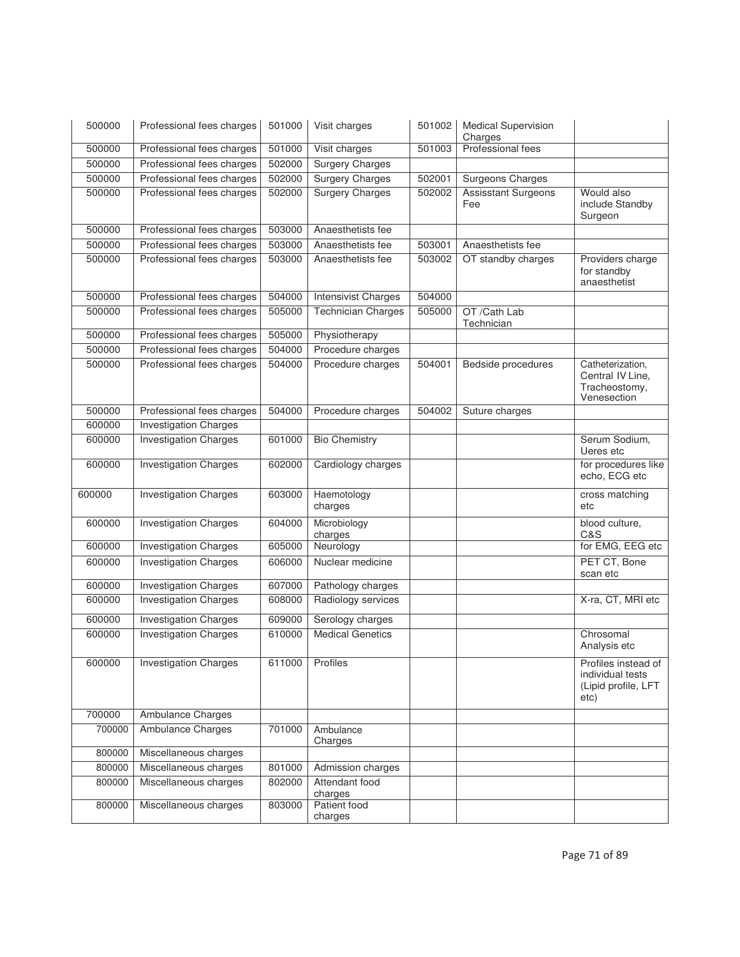| 500000 | Professional fees charges    | 501000 | Visit charges              | 501002 | <b>Medical Supervision</b><br>Charges |                                                                        |
|--------|------------------------------|--------|----------------------------|--------|---------------------------------------|------------------------------------------------------------------------|
| 500000 | Professional fees charges    | 501000 | Visit charges              | 501003 | Professional fees                     |                                                                        |
| 500000 | Professional fees charges    | 502000 | <b>Surgery Charges</b>     |        |                                       |                                                                        |
| 500000 | Professional fees charges    | 502000 | <b>Surgery Charges</b>     | 502001 | <b>Surgeons Charges</b>               |                                                                        |
| 500000 | Professional fees charges    | 502000 | <b>Surgery Charges</b>     | 502002 | <b>Assisstant Surgeons</b><br>Fee     | Would also<br>include Standby<br>Surgeon                               |
| 500000 | Professional fees charges    | 503000 | Anaesthetists fee          |        |                                       |                                                                        |
| 500000 | Professional fees charges    | 503000 | Anaesthetists fee          | 503001 | Anaesthetists fee                     |                                                                        |
| 500000 | Professional fees charges    | 503000 | Anaesthetists fee          | 503002 | OT standby charges                    | Providers charge<br>for standby<br>anaesthetist                        |
| 500000 | Professional fees charges    | 504000 | <b>Intensivist Charges</b> | 504000 |                                       |                                                                        |
| 500000 | Professional fees charges    | 505000 | <b>Technician Charges</b>  | 505000 | OT /Cath Lab<br>Technician            |                                                                        |
| 500000 | Professional fees charges    | 505000 | Physiotherapy              |        |                                       |                                                                        |
| 500000 | Professional fees charges    | 504000 | Procedure charges          |        |                                       |                                                                        |
| 500000 | Professional fees charges    | 504000 | Procedure charges          | 504001 | <b>Bedside procedures</b>             | Catheterization,<br>Central IV Line,<br>Tracheostomy,<br>Venesection   |
| 500000 | Professional fees charges    | 504000 | Procedure charges          | 504002 | Suture charges                        |                                                                        |
| 600000 | <b>Investigation Charges</b> |        |                            |        |                                       |                                                                        |
| 600000 | <b>Investigation Charges</b> | 601000 | <b>Bio Chemistry</b>       |        |                                       | Serum Sodium,<br>Ueres etc                                             |
| 600000 | <b>Investigation Charges</b> | 602000 | Cardiology charges         |        |                                       | for procedures like<br>echo, ECG etc                                   |
| 600000 | <b>Investigation Charges</b> | 603000 | Haemotology<br>charges     |        |                                       | cross matching<br>etc                                                  |
| 600000 | <b>Investigation Charges</b> | 604000 | Microbiology<br>charges    |        |                                       | blood culture,<br>C&S                                                  |
| 600000 | <b>Investigation Charges</b> | 605000 | Neurology                  |        |                                       | for EMG, EEG etc                                                       |
| 600000 | <b>Investigation Charges</b> | 606000 | Nuclear medicine           |        |                                       | PET CT, Bone<br>scan etc                                               |
| 600000 | <b>Investigation Charges</b> | 607000 | Pathology charges          |        |                                       |                                                                        |
| 600000 | <b>Investigation Charges</b> | 608000 | Radiology services         |        |                                       | X-ra, CT, MRI etc                                                      |
| 600000 | <b>Investigation Charges</b> | 609000 | Serology charges           |        |                                       |                                                                        |
| 600000 | <b>Investigation Charges</b> | 610000 | <b>Medical Genetics</b>    |        |                                       | Chrosomal<br>Analysis etc                                              |
| 600000 | <b>Investigation Charges</b> | 611000 | Profiles                   |        |                                       | Profiles instead of<br>individual tests<br>(Lipid profile, LFT<br>etc) |
| 700000 | Ambulance Charges            |        |                            |        |                                       |                                                                        |
| 700000 | Ambulance Charges            | 701000 | Ambulance<br>Charges       |        |                                       |                                                                        |
| 800000 | Miscellaneous charges        |        |                            |        |                                       |                                                                        |
| 800000 | Miscellaneous charges        | 801000 | Admission charges          |        |                                       |                                                                        |
| 800000 | Miscellaneous charges        | 802000 | Attendant food<br>charges  |        |                                       |                                                                        |
| 800000 | Miscellaneous charges        | 803000 | Patient food<br>charges    |        |                                       |                                                                        |